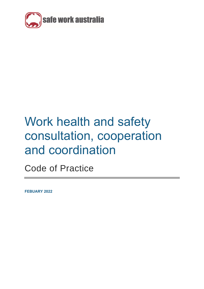

# Work health and safety consultation, cooperation and coordination

Code of Practice

**FEBUARY 2022**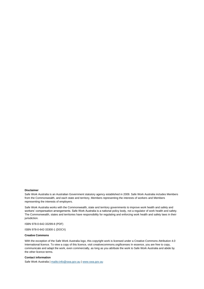#### **Disclaimer**

Safe Work Australia is an Australian Government statutory agency established in 2009. Safe Work Australia includes Members from the Commonwealth, and each state and territory, Members representing the interests of workers and Members representing the interests of employers.

Safe Work Australia works with the Commonwealth, state and territory governments to improve work health and safety and workers' compensation arrangements. Safe Work Australia is a national policy body, not a regulator of work health and safety. The Commonwealth, states and territories have responsibility for regulating and enforcing work health and safety laws in their jurisdiction.

ISBN 978-0-642-33299-8 (PDF)

ISBN 978-0-642-33300-1 (DOCX)

#### **Creative Commons**

With the exception of the Safe Work Australia logo, this copyright work is licensed under a Creative Commons Attribution 4.0 International licence. To view a copy of this licence, visit creativecommons.org/licenses In essence, you are free to copy, communicate and adapt the work, even commercially, as long as you attribute the work to Safe Work Australia and abide by the other licence terms.

#### **Contact information**

Safe Work Australia [| mailto:info@swa.gov.au](mailto:info@swa.gov.au) | [www.swa.gov.au](http://swa.hosts.application.enet/business-support/Communication/Documents/www.swa.gov.au)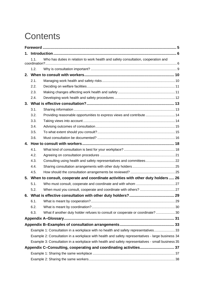# **Contents**

| 1. |                                                                                     |                                                                                                   |  |
|----|-------------------------------------------------------------------------------------|---------------------------------------------------------------------------------------------------|--|
|    | 1.1.                                                                                | Who has duties in relation to work health and safety consultation, cooperation and                |  |
|    | 1.2.                                                                                |                                                                                                   |  |
|    |                                                                                     |                                                                                                   |  |
|    | 2.1.                                                                                |                                                                                                   |  |
|    | 2.2.                                                                                |                                                                                                   |  |
|    | 2.3.                                                                                |                                                                                                   |  |
|    | 2.4.                                                                                |                                                                                                   |  |
|    |                                                                                     |                                                                                                   |  |
|    | 3.1.                                                                                |                                                                                                   |  |
|    | 3.2.                                                                                | Providing reasonable opportunities to express views and contribute  14                            |  |
|    | 3.3.                                                                                |                                                                                                   |  |
|    | 3.4.                                                                                |                                                                                                   |  |
|    | 3.5.                                                                                |                                                                                                   |  |
|    | 3.6.                                                                                |                                                                                                   |  |
| 4. |                                                                                     |                                                                                                   |  |
|    | 4.1.                                                                                |                                                                                                   |  |
|    | 4.2.                                                                                |                                                                                                   |  |
|    | 4.3.                                                                                |                                                                                                   |  |
|    | 4.4.                                                                                |                                                                                                   |  |
|    | 4.5.                                                                                |                                                                                                   |  |
|    | 5. When to consult, cooperate and coordinate activities with other duty holders  26 |                                                                                                   |  |
|    | 5.1.                                                                                |                                                                                                   |  |
|    | 5.2.                                                                                |                                                                                                   |  |
| 6. |                                                                                     |                                                                                                   |  |
|    | 6.1.                                                                                |                                                                                                   |  |
|    | 6.2.                                                                                |                                                                                                   |  |
|    | 6.3.                                                                                | What if another duty holder refuses to consult or cooperate or coordinate?  30                    |  |
|    |                                                                                     |                                                                                                   |  |
|    |                                                                                     |                                                                                                   |  |
|    |                                                                                     | Example 1: Consultation in a workplace with no health and safety representatives 33               |  |
|    |                                                                                     | Example 2: Consultation in a workplace with health and safety representatives - large business 34 |  |
|    |                                                                                     | Example 3: Consultation in a workplace with health and safety representatives - small business 35 |  |
|    |                                                                                     |                                                                                                   |  |
|    |                                                                                     |                                                                                                   |  |
|    |                                                                                     |                                                                                                   |  |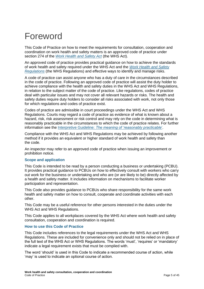# <span id="page-4-0"></span>Foreword

This Code of Practice on how to meet the requirements for consultation, cooperation and coordination on work health and safety matters is an approved code of practice under section 274 of the *[Work Health and Safety Act](https://www.safeworkaustralia.gov.au/doc/model-work-health-and-safety-act)* (the WHS Act).

An approved code of practice provides practical guidance on how to achieve the standards of work health and safety required under the WHS Act and the *[Work Health and Safety](https://www.safeworkaustralia.gov.au/doc/model-whs-regulations)  [Regulations](https://www.safeworkaustralia.gov.au/doc/model-whs-regulations)* (the WHS Regulations) and effective ways to identify and manage risks.

A code of practice can assist anyone who has a duty of care in the circumstances described in the code of practice. Following an approved code of practice will assist the duty holder to achieve compliance with the health and safety duties in the WHS Act and WHS Regulations, in relation to the subject matter of the code of practice. Like regulations, codes of practice deal with particular issues and may not cover all relevant hazards or risks. The health and safety duties require duty holders to consider all risks associated with work, not only those for which regulations and codes of practice exist.

Codes of practice are admissible in court proceedings under the WHS Act and WHS Regulations. Courts may regard a code of practice as evidence of what is known about a hazard, risk, risk assessment or risk control and may rely on the code in determining what is reasonably practicable in the circumstances to which the code of practice relates. For further information see the Interpretive Guideline: *[The meaning of 'reasonably practicable](https://www.safeworkaustralia.gov.au/resources-and-publications/guidance-materials/how-determine-what-reasonably-practicable-meet-health-and-safety-duty)*'.

Compliance with the WHS Act and WHS Regulations may be achieved by following another method if it provides an equivalent or higher standard of work health and safety than the code.

An inspector may refer to an approved code of practice when issuing an improvement or prohibition notice.

#### **Scope and application**

This Code is intended to be read by a person conducting a business or undertaking (PCBU). It provides practical guidance to PCBUs on how to effectively consult with workers who carry out work for the business or undertaking and who are (or are likely to be) directly affected by a health and safety matter. It includes information on mechanisms to facilitate worker participation and representation.

This Code also provides guidance to PCBUs who share responsibility for the same work health and safety matter on how to consult, cooperate and coordinate activities with each other.

This Code may be a useful reference for other persons interested in the duties under the WHS Act and WHS Regulations.

This Code applies to all workplaces covered by the WHS Act where work health and safety consultation, cooperation and coordination is required.

#### **How to use this Code of Practice**

This Code includes references to the legal requirements under the WHS Act and WHS Regulations. These are included for convenience only and should not be relied on in place of the full text of the WHS Act or WHS Regulations. The words 'must', 'requires' or 'mandatory' indicate a legal requirement exists that must be complied with.

The word 'should' is used in this Code to indicate a recommended course of action, while 'may' is used to indicate an optional course of action.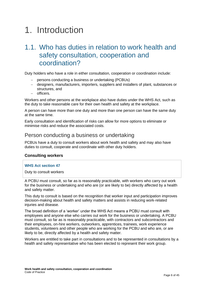# <span id="page-5-0"></span>1. Introduction

# <span id="page-5-1"></span>1.1. Who has duties in relation to work health and safety consultation, cooperation and coordination?

Duty holders who have a role in either consultation, cooperation or coordination include:

- − persons conducting a business or undertaking (PCBUs)
- − designers, manufacturers, importers, suppliers and installers of plant, substances or structures, and
- − officers.

Workers and other persons at the workplace also have duties under the WHS Act, such as the duty to take reasonable care for their own health and safety at the workplace.

A person can have more than one duty and more than one person can have the same duty at the same time.

Early consultation and identification of risks can allow for more options to eliminate or minimise risks and reduce the associated costs.

### Person conducting a business or undertaking

PCBUs have a duty to consult workers about work health and safety and may also have duties to consult, cooperate and coordinate with other duty holders.

#### **Consulting workers**

#### **WHS Act section 47**

Duty to consult workers

A PCBU must consult, so far as is reasonably practicable, with workers who carry out work for the business or undertaking and who are (or are likely to be) directly affected by a health and safety matter.

This duty to consult is based on the recognition that worker input and participation improves decision-making about health and safety matters and assists in reducing work-related injuries and disease.

The broad definition of a 'worker' under the WHS Act means a PCBU must consult with employees and anyone else who carries out work for the business or undertaking. A PCBU must consult, so far as is reasonably practicable, with contractors and subcontractors and their employees, on-hire workers, outworkers, apprentices, trainees, work experience students, volunteers and other people who are working for the PCBU and who are, or are likely to be, directly affected by a health and safety matter.

Workers are entitled to take part in consultations and to be represented in consultations by a health and safety representative who has been elected to represent their work group.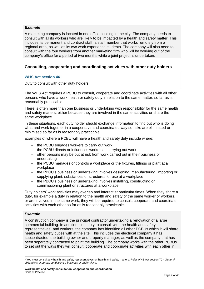#### *Example*

A marketing company is located in one office building in the city. The company needs to consult with all its workers who are likely to be impacted by a health and safety matter. This includes its permanent and contract staff, a staff member that works remotely from a regional area, as well as its two work experience students. The company will also need to consult with the four workers from another marketing firm who will be working out of the company's office for a period of two months while a joint project is undertaken.

#### **Consulting, cooperating and coordinating activities with other duty holders**

#### **WHS Act section 46**

Duty to consult with other duty holders

The WHS Act requires a PCBU to consult, cooperate and coordinate activities with all other persons who have a work health or safety duty in relation to the same matter, so far as is reasonably practicable.

There is often more than one business or undertaking with responsibility for the same health and safety matters, either because they are involved in the same activities or share the same workplace.

In these situations, each duty holder should exchange information to find out who is doing what and work together in a cooperative and coordinated way so risks are eliminated or minimised so far as is reasonably practicable.

Examples of where a PCBU will have a health and safety duty include where:

- − the PCBU engages workers to carry out work
- − the PCBU directs or influences workers in carrying out work
- − other persons may be put at risk from work carried out in their business or undertaking
- − the PCBU manages or controls a workplace or the fixtures, fittings or plant at a workplace
- − the PBCU's business or undertaking involves designing, manufacturing, importing or supplying plant, substances or structures for use at a workplace
- − the PBCU's business or undertaking involves installing, constructing or commissioning plant or structures at a workplace.

Duty holders' work activities may overlap and interact at particular times. When they share a duty, for example a duty in relation to the health and safety of the same worker or workers, or are involved in the same work, they will be required to consult, cooperate and coordinate activities with each other so far as is reasonably practicable.

#### *Example*

A construction company is the principal contractor undertaking a renovation of a large commercial building. In addition to its duty to consult with the health and safety representatives<sup>1</sup> and workers, the company has identified all other PCBUs which it will share health and safety duties with at the site. This includes the electrical company it has subcontracted, the building owner and property manager, as well as the company that has been separately contracted to paint the building. The company works with the other PCBUs to set out the ways they will consult, cooperate and coordinate activities with each other in

<sup>1</sup> You must consult any health and safety representatives on health and safety matters. Refer WHS Act section 70 - *General obligations of person conducting a business or undertaking*.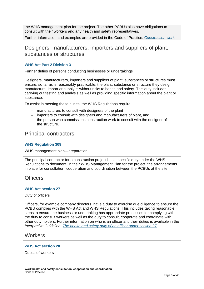the WHS management plan for the project. The other PCBUs also have obligations to consult with their workers and any health and safety representatives.

Further information and examples are provided in the Code of Practice: *[Construction](https://www.safeworkaustralia.gov.au/resources-and-publications/model-codes-practice/model-code-practice-construction-work) work.*

## Designers, manufacturers, importers and suppliers of plant, substances or structures

#### **WHS Act Part 2 Division 3**

Further duties of persons conducting businesses or undertakings

Designers, manufacturers, importers and suppliers of plant, substances or structures must ensure, so far as is reasonably practicable, the plant, substance or structure they design, manufacture, import or supply is without risks to health and safety. This duty includes carrying out testing and analysis as well as providing specific information about the plant or substance.

To assist in meeting these duties, the WHS Regulations require:

- − manufacturers to consult with designers of the plant
- − importers to consult with designers and manufacturers of plant, and
- − the person who commissions construction work to consult with the designer of the structure.

## Principal contractors

#### **WHS Regulation 309**

WHS management plan—preparation

The principal contractor for a construction project has a specific duty under the WHS Regulations to document, in their WHS Management Plan for the project, the arrangements in place for consultation, cooperation and coordination between the PCBUs at the site.

### **Officers**

#### **WHS Act section 27**

#### Duty of officers

Officers, for example company directors, have a duty to exercise due diligence to ensure the PCBU complies with the WHS Act and WHS Regulations. This includes taking reasonable steps to ensure the business or undertaking has appropriate processes for complying with the duty to consult workers as well as the duty to consult, cooperate and coordinate with other duty holders. Further information on who is an officer and their duties is available in the *[Interpretive Guideline: The health and safety duty of an officer under section 27](https://www.safeworkaustralia.gov.au/resources-and-publications/guidance-materials/health-and-safety-duty-officer)*.

### **Workers**

#### **WHS Act section 28**

Duties of workers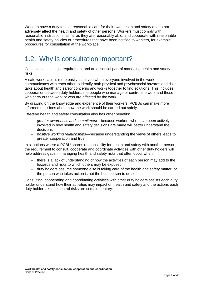Workers have a duty to take reasonable care for their own health and safety and to not adversely affect the health and safety of other persons. Workers must comply with reasonable instructions, as far as they are reasonably able, and cooperate with reasonable health and safety policies or procedures that have been notified to workers, for example procedures for consultation at the workplace.

# <span id="page-8-0"></span>1.2. Why is consultation important?

Consultation is a legal requirement and an essential part of managing health and safety risks.

A safe workplace is more easily achieved when everyone involved in the work communicates with each other to identify both physical and psychosocial hazards and risks, talks about health and safety concerns and works together to find solutions. This includes cooperation between duty holders, the people who manage or control the work and those who carry out the work or who are affected by the work.

By drawing on the knowledge and experience of their workers, PCBUs can make more informed decisions about how the work should be carried out safely.

Effective health and safety consultation also has other benefits:

- − *greater awareness and commitment*—because workers who have been actively involved in how health and safety decisions are made will better understand the decisions
- − *positive working relationships*—because understanding the views of others leads to greater cooperation and trust.

In situations where a PCBU shares responsibility for health and safety with another person, the requirement to consult, cooperate and coordinate activities with other duty holders will help address gaps in managing health and safety risks that often occur when:

- − there is a lack of understanding of how the activities of each person may add to the hazards and risks to which others may be exposed
- − duty holders assume someone else is taking care of the health and safety matter, or
- − the person who takes action is not the best person to do so.

Consulting, cooperating and coordinating activities with other duty holders assists each duty holder understand how their activities may impact on health and safety and the actions each duty holder takes to control risks are complementary.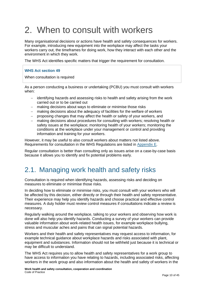# <span id="page-9-0"></span>2. When to consult with workers

Many organisational decisions or actions have health and safety consequences for workers. For example, introducing new equipment into the workplace may affect the tasks your workers carry out, the timeframes for doing work, how they interact with each other and the environment in which they work.

The WHS Act identifies specific matters that trigger the requirement for consultation.

#### **WHS Act section 49**

When consultation is required

As a person conducting a business or undertaking (PCBU) you must consult with workers when:

- − identifying hazards and assessing risks to health and safety arising from the work carried out or to be carried out
- − making decisions about ways to eliminate or minimise those risks
- making decisions about the adequacy of facilities for the welfare of workers
- − proposing changes that may affect the health or safety of your workers, and
- − making decisions about procedures for consulting with workers; resolving health or safety issues at the workplace; monitoring health of your workers; monitoring the conditions at the workplace under your management or control and providing information and training for your workers.

However, it may be useful to also consult workers about matters not listed above. Requirements for consultation in the WHS Regulations are listed in [Appendix E.](#page-42-0)

Regular consultation is better than consulting only as issues arise on a case-by-case basis because it allows you to identify and fix potential problems early.

# <span id="page-9-1"></span>2.1. Managing work health and safety risks

Consultation is required when identifying hazards, assessing risks and deciding on measures to eliminate or minimise those risks.

In deciding how to eliminate or minimise risks, you must consult with your workers who will be affected by this decision, either directly or through their health and safety representative. Their experience may help you identify hazards and choose practical and effective control measures. A duty holder must review control measures if consultations indicate a review is necessary.

Regularly walking around the workplace, talking to your workers and observing how work is done will also help you identify hazards. Conducting a survey of your workers can provide valuable information about work-related health issues, for example workplace bullying, stress and muscular aches and pains that can signal potential hazards.

Workers and their health and safety representatives may request access to information, for example technical guidance about workplace hazards and risks associated with plant, equipment and substances. Information should not be withheld just because it is technical or may be difficult to understand.

The WHS Act requires you to allow health and safety representatives for a work group to have access to information you have relating to hazards, including associated risks, affecting workers in the work group and also information about the health and safety of workers in the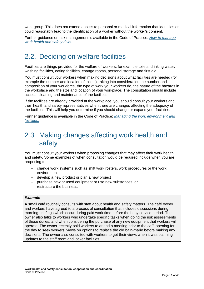work group. This does not extend access to personal or medical information that identifies or could reasonably lead to the identification of a worker without the worker's consent.

Further guidance on risk management is available in the Code of Practice: *[How to manage](https://www.safeworkaustralia.gov.au/doc/model-codes-practice/model-code-practice-how-manage-work-health-and-safety-risks)  [work health and safety risks.](https://www.safeworkaustralia.gov.au/doc/model-codes-practice/model-code-practice-how-manage-work-health-and-safety-risks)*

## <span id="page-10-0"></span>2.2. Deciding on welfare facilities

Facilities are things provided for the welfare of workers, for example toilets, drinking water, washing facilities, eating facilities, change rooms, personal storage and first aid.

You must consult your workers when making decisions about what facilities are needed (for example the number and location of toilets), taking into consideration the number and composition of your workforce, the type of work your workers do, the nature of the hazards in the workplace and the size and location of your workplace. The consultation should include access, cleaning and maintenance of the facilities.

If the facilities are already provided at the workplace, you should consult your workers and their health and safety representatives when there are changes affecting the adequacy of the facilities. This will help you determine if you should change or expand your facilities.

Further guidance is available in the Code of Practice: *[Managing the work environment and](https://www.safeworkaustralia.gov.au/doc/model-codes-practice/model-code-practice-managing-work-environment-and-facilities)  [facilities](https://www.safeworkaustralia.gov.au/doc/model-codes-practice/model-code-practice-managing-work-environment-and-facilities)*.

# <span id="page-10-1"></span>2.3. Making changes affecting work health and safety

You must consult your workers when proposing changes that may affect their work health and safety. Some examples of when consultation would be required include when you are proposing to:

- − change work systems such as shift work rosters, work procedures or the work environment
- − develop a new product or plan a new project
- − purchase new or used equipment or use new substances, or
- − restructure the business.

#### *Example*

A small café routinely consults with staff about health and safety matters. The café owner and workers have agreed to a process of consultation that includes discussions during morning briefings which occur during paid work time before the busy service period. The owner also talks to workers who undertake specific tasks when doing the risk assessments of those duties, and when considering the purchase of any new equipment that workers will operate. The owner recently paid workers to attend a meeting prior to the café opening for the day to seek workers' views on options to replace the old bain-marie before making any decisions. The owner also consulted with workers to get their views when it was planning updates to the staff room and locker facilities.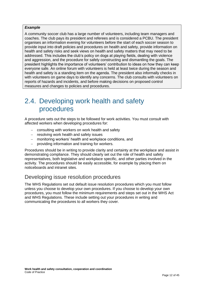#### *Example*

A community soccer club has a large number of volunteers, including team managers and coaches. The club pays its president and referees and is considered a PCBU. The president organises an information evening for volunteers before the start of each soccer season to provide input into draft policies and procedures on health and safety, provide information on health and safety risks and seek views on health and safety matters that may need to be addressed. This includes the club's policy on dogs at playing fields, dealing with violence and aggression, and the procedure for safely constructing and dismantling the goals. The president highlights the importance of volunteers' contribution to ideas on how they can keep everyone safe. An online forum with volunteers is held at least twice during the season and health and safety is a standing item on the agenda. The president also informally checks in with volunteers on game days to identify any concerns. The club consults with volunteers on reports of hazards and incidents, and before making decisions on proposed control measures and changes to policies and procedures.

# <span id="page-11-0"></span>2.4. Developing work health and safety procedures

A procedure sets out the steps to be followed for work activities. You must consult with affected workers when developing procedures for:

- − consulting with workers on work health and safety
- − resolving work health and safety issues
- − monitoring workers' health and workplace conditions, and
- − providing information and training for workers.

Procedures should be in writing to provide clarity and certainty at the workplace and assist in demonstrating compliance. They should clearly set out the role of health and safety representatives, both legislative and workplace specific, and other parties involved in the activity. The procedures should be easily accessible, for example by placing them on noticeboards and intranet sites.

## Developing issue resolution procedures

The WHS Regulations set out default issue resolution procedures which you must follow unless you choose to develop your own procedures. If you choose to develop your own procedures, you must follow the minimum requirements and steps set out in the WHS Act and WHS Regulations. These include setting out your procedures in writing and communicating the procedures to all workers they cover.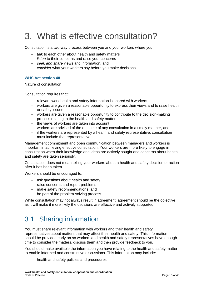# <span id="page-12-0"></span>3. What is effective consultation?

Consultation is a two-way process between you and your workers where you:

- − *talk* to each other about health and safety matters
- − *listen* to their concerns and raise your concerns
- − *seek and share* views and information, and
- − *consider* what your workers say before you make decisions.

#### **WHS Act section 48**

Nature of consultation

Consultation requires that:

- − relevant work health and safety information is shared with workers
- − workers are given a reasonable opportunity to express their views and to raise health or safety issues
- − workers are given a reasonable opportunity to contribute to the decision-making process relating to the health and safety matter
- − the views of workers are taken into account
- − workers are advised of the outcome of any consultation in a timely manner, and
- − if the workers are represented by a health and safety representative, consultation must include that representative.

Management commitment and open communication between managers and workers is important in achieving effective consultation. Your workers are more likely to engage in consultation when their knowledge and ideas are actively sought and concerns about health and safety are taken seriously.

Consultation does not mean telling your workers about a health and safety decision or action after it has been taken.

Workers should be encouraged to:

- − ask questions about health and safety
- − raise concerns and report problems
- − make safety recommendations, and
- − be part of the problem-solving process.

While consultation may not always result in agreement, agreement should be the objective as it will make it more likely the decisions are effective and actively supported.

# <span id="page-12-1"></span>3.1. Sharing information

You must share relevant information with workers and their health and safety representatives about matters that may affect their health and safety. This information should be provided early on so workers and health and safety representatives have enough time to consider the matters, discuss them and then provide feedback to you.

You should make available the information you have relating to the health and safety matter to enable informed and constructive discussions. This information may include:

health and safety policies and procedures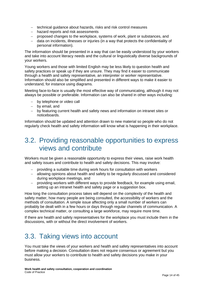- − technical guidance about hazards, risks and risk control measures
- − hazard reports and risk assessments
- − proposed changes to the workplace, systems of work, plant or substances, and
- − data on incidents, illnesses or injuries (in a way that protects the confidentiality of personal information).

The information should be presented in a way that can be easily understood by your workers and take into account literacy needs and the cultural or linguistically diverse backgrounds of your workers.

Young workers and those with limited English may be less likely to question health and safety practices or speak up if they are unsure. They may find it easier to communicate through a health and safety representative, an interpreter or worker representative. Information should also be simplified and presented in different ways to make it easier to understand, for instance using diagrams.

Meeting face-to-face is usually the most effective way of communicating, although it may not always be possible or preferable. Information can also be shared in other ways including:

- − by telephone or video call
- − by email, and
- − by featuring current health and safety news and information on intranet sites or noticeboards.

Information should be updated and attention drawn to new material so people who do not regularly check health and safety information will know what is happening in their workplace.

## <span id="page-13-0"></span>3.2. Providing reasonable opportunities to express views and contribute

Workers must be given a reasonable opportunity to express their views, raise work health and safety issues and contribute to health and safety decisions. This may involve:

- − providing a suitable time during work hours for consultation with workers
- − allowing opinions about health and safety to be regularly discussed and considered during workplace meetings, and
- − providing workers with different ways to provide feedback, for example using email, setting up an intranet health and safety page or a suggestion box.

How long the consultation process takes will depend on the complexity of the health and safety matter, how many people are being consulted, the accessibility of workers and the methods of consultation. A simple issue affecting only a small number of workers can probably be dealt with in a few hours or days through regular channels of communication. A complex technical matter, or consulting a large workforce, may require more time.

If there are health and safety representatives for the workplace you must include them in the discussions, with or without the direct involvement of workers.

# <span id="page-13-1"></span>3.3. Taking views into account

You must take the views of your workers and health and safety representatives into account before making a decision. Consultation does not require consensus or agreement but you must allow your workers to contribute to health and safety decisions you make in your business.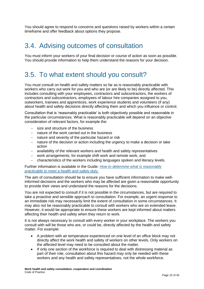You should agree to respond to concerns and questions raised by workers within a certain timeframe and offer feedback about options they propose.

# <span id="page-14-0"></span>3.4. Advising outcomes of consultation

You must inform your workers of your final decision or course of action as soon as possible. You should provide information to help them understand the reasons for your decision.

# <span id="page-14-1"></span>3.5. To what extent should you consult?

You must consult on health and safety matters so far as is reasonably practicable with workers who carry out work for you and who are (or are likely to be) directly affected. This includes consulting with your employees, contractors and subcontractors, the workers of contractors and subcontractors, employees of labour hire companies assigned to you, outworkers, trainees and apprentices, work experience students and volunteers (if any) about health and safety decisions directly affecting them and which you influence or control.

Consultation that is 'reasonably practicable' is both objectively possible and reasonable in the particular circumstances. What is reasonably practicable will depend on an objective consideration of relevant factors, for example the:

- − size and structure of the business
- nature of the work carried out in the business
- − nature and severity of the particular hazard or risk
- − nature of the decision or action including the urgency to make a decision or take action
- − availability of the relevant workers and health and safety representatives
- − work arrangements, for example shift work and remote work, and
- − characteristics of the workers including languages spoken and literacy levels.

Further information is available in the Guide: *[How to determine what is reasonably](https://www.safeworkaustralia.gov.au/resources-and-publications/guidance-materials/how-determine-what-reasonably-practicable-meet-health-and-safety-duty)  [practicable to meet a health and safety duty](https://www.safeworkaustralia.gov.au/resources-and-publications/guidance-materials/how-determine-what-reasonably-practicable-meet-health-and-safety-duty)*.

The aim of consultation should be to ensure you have sufficient information to make wellinformed decisions and the workers who may be affected are given a reasonable opportunity to provide their views and understand the reasons for the decisions.

You are not expected to consult if it is not possible in the circumstances, but are required to take a proactive and sensible approach to consultation. For example, an urgent response to an immediate risk may necessarily limit the extent of consultation in some circumstances. It may also not be reasonably practicable to consult with workers who are on extended leave. However, it would be appropriate to ensure these workers are kept informed about matters affecting their health and safety when they return to work.

It is not always necessary to consult with every worker in your workplace. The workers you consult with will be those who are, or could be, directly affected by the health and safety matter. For example:

- A problem with air temperature experienced on one level of an office block may not directly affect the work health and safety of workers on other levels. Only workers on the affected level may need to be consulted about the matter.
- If only one section of the workforce is required to deal with distressing material as part of their role, consultation about this hazard may only be needed with these workers and any health and safety representatives, not the whole workforce.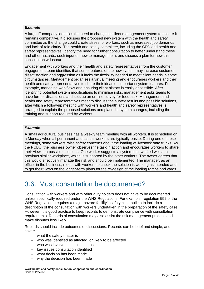#### *Example*

A large IT company identifies the need to change its client management system to ensure it remains competitive. It discusses the proposed new system with the health and safety committee as the change could create stress for workers, such as increased job demands and lack of role clarity. The health and safety committee, including the CEO and health and safety representatives, identify the need for further consultation to better understand these and other hazards, seek input on how to manage them, and discuss a plan for how this consultation will occur.

Engagement with workers and their health and safety representatives from the customer engagement team identifies that some features of the new system may increase customer dissatisfaction and aggression as it lacks the flexibility needed to meet client needs in some circumstances. Management organises a virtual meeting and encourages workers and their health and safety representatives to share their ideas on important system features. For example, managing workflows and ensuring client history is easily accessible. After identifying potential system modifications to minimise risks, management asks teams to have further discussions and sets up an on-line survey for feedback. Management and health and safety representatives meet to discuss the survey results and possible solutions, after which a follow-up meeting with workers and health and safety representatives is arranged to explain the proposed solutions and plans for system changes, including the training and support required by workers.

#### *Example*

A small agricultural business has a weekly team meeting with all workers. It is scheduled on a Monday when all permanent and casual workers are typically onsite. During one of these meetings, some workers raise safety concerns about the loading of livestock onto trucks. As the PCBU, the business owner observes the task in action and encourages workers to share their views on possible solutions. One worker suggests a system that worked well at a previous similar workplace, which is supported by the other workers. The owner agrees that this would effectively manage the risk and should be implemented. The manager, as an officer in the business, meets with workers to check the solution is working as intended and to get their views on the longer-term plans for the re-design of the loading ramps and yards.

# <span id="page-15-0"></span>3.6. Must consultation be documented?

Consultation with workers and with other duty holders does not have to be documented unless specifically required under the WHS Regulations. For example, regulation 552 of the WHS Regulations requires a major hazard facility's safety case outline to include a description of the consultation with workers undertaken in the preparation of the safety case. However, it is good practice to keep records to demonstrate compliance with consultation requirements. Records of consultation may also assist the risk management process and make disputes less likely.

Records should include outcomes of discussions. Records can be brief and simple, and cover:

- − what the safety matter is
- − who was identified as affected, or likely to be affected
- who was involved in consultations
- key issues consultation identified
- − what decision has been made
- why the decision has been made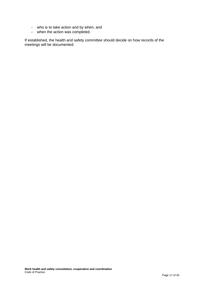- − who is to take action and by when, and
- − when the action was completed.

If established, the health and safety committee should decide on how records of the meetings will be documented.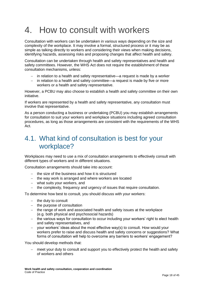# <span id="page-17-0"></span>4. How to consult with workers

Consultation with workers can be undertaken in various ways depending on the size and complexity of the workplace. It may involve a formal, structured process or it may be as simple as talking directly to workers and considering their views when making decisions, identifying hazards, assessing risks and proposing changes that affect health and safety.

Consultation can be undertaken through health and safety representatives and health and safety committees. However, the WHS Act does not require the establishment of these consultation mechanisms, unless:

- − in relation to a health and safety representative—a request is made by a worker
- − in relation to a health and safety committee—a request is made by five or more workers or a health and safety representative.

However, a PCBU may also choose to establish a health and safety committee on their own initiative.

If workers are represented by a health and safety representative, any consultation must involve that representative.

As a person conducting a business or undertaking (PCBU) you may establish arrangements for consultation to suit your workers and workplace situations including agreed consultation procedures, as long as those arrangements are consistent with the requirements of the WHS Act.

## <span id="page-17-1"></span>4.1. What kind of consultation is best for your workplace?

Workplaces may need to use a mix of consultation arrangements to effectively consult with different types of workers and in different situations.

Consultation arrangements should take into account:

- − the size of the business and how it is structured
- − the way work is arranged and where workers are located
- − what suits your workers, and
- − the complexity, frequency and urgency of issues that require consultation.

To determine how best to consult, you should discuss with your workers:

- − the duty to consult
- − the purpose of consultation
- − the range of work and associated health and safety issues at the workplace (e.g. both physical and psychosocial hazards)
- − the various ways for consultation to occur including your workers' right to elect health and safety representatives, and
- − your workers' ideas about the most effective way(s) to consult. How would your workers prefer to raise and discuss health and safety concerns or suggestions? What forms of consultation will help to overcome any barriers to workers' engagement?

You should develop methods that:

meet your duty to consult and support you to effectively protect the health and safety of workers and others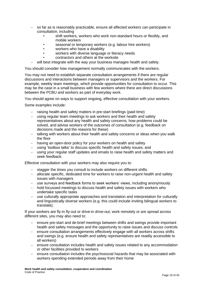- − so far as is reasonably practicable, ensure all affected workers can participate in consultation, including
	- shift workers, workers who work non-standard hours or flexibly, and mobile workers
	- seasonal or temporary workers (e.g. labour hire workers)
	- workers who have a disability
	- workers with diverse language or literacy needs
	- contractors and others at the worksite
- − will best integrate with the way your business manages health and safety.

You should consider how management normally communicates with the workers.

You may not need to establish separate consultation arrangements if there are regular discussions and interactions between managers or supervisors and the workers. For example, weekly team meetings, which provide opportunities for consultation to occur. This may be the case in a small business with few workers where there are direct discussions between the PCBU and workers as part of everyday work.

You should agree on ways to support ongoing, effective consultation with your workers.

Some examples include:

- − raising health and safety matters in pre-start briefings (paid time)
- − using regular team meetings to ask workers and their health and safety representatives about any health and safety concerns, how problems could be solved, and advise workers of the outcomes of consultation (e.g. feedback on decisions made and the reasons for these)
- − talking with workers about their health and safety concerns or ideas when you walk the floor
- − having an open-door policy for your workers on health and safety
- − using 'toolbox talks' to discuss specific health and safety issues, and
- − using your regular staff updates and emails to raise health and safety matters and seek feedback.

Effective consultation with your workers may also require you to:

- − stagger the times you consult to include workers on different shifts
- − allocate specific, dedicated time for workers to raise non-urgent health and safety issues with managers
- − use surveys and feedback forms to seek workers' views, including anonymously
- − hold focussed meetings to discuss health and safety issues with workers who undertake specific tasks
- − use culturally appropriate approaches and translation and interpretation for culturally and linguistically diverse workers (e.g. this could include inviting bilingual workers to translate).

If your workers are fly-in fly-out or drive-in drive-out, work remotely or are spread across different sites, you may also need to:

- ensure pre-start and de-brief meetings between shifts and swings provide important health and safety messages and the opportunity to raise issues and discuss controls
- − ensure consultation arrangements effectively engage with all workers across shifts and swings (e.g. ensure health and safety representatives are readily accessible to all workers)
- − ensure consultation includes health and safety issues related to any accommodation or other facilities provided to workers
- − ensure consultation includes the psychosocial hazards that may be associated with workers spending extended periods away from their home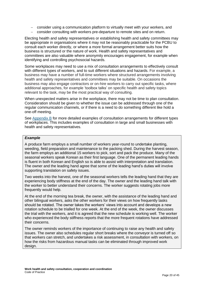- − consider using a communication platform to virtually meet with your workers, and
- − consider consulting with workers pre-departure to remote sites and on return.

Electing health and safety representatives or establishing health and safety committees may be appropriate in organisations where it may not be reasonably practicable for the PCBU to consult each worker directly, or where a more formal arrangement better suits how the business is structured or the nature of work. Health and safety representatives and committees are also valuable where anonymity encourages engagement, for example when identifying and controlling psychosocial hazards.

Some workplaces may need to use a mix of consultation arrangements to effectively consult with different types of workers, and to suit different situations and hazards. For example, a business may have a number of full-time workers where structured arrangements involving health and safety representatives and committees may be suitable. On occasions the business may also engage contractors or on-hire workers to carry out specific tasks, where additional approaches, for example 'toolbox talks' on specific health and safety topics relevant to the task, may be the most practical way of consulting.

When unexpected matters arise in the workplace, there may not be time to plan consultation. Consideration should be given to whether the issue can be addressed through one of the regular communication channels, or if there is a need to do something different like hold a one-off meeting.

See [Appendix B](#page-32-0) for more detailed examples of consultation arrangements for different types of workplaces. This includes examples of consultation in large and small businesses with health and safety representatives.

#### *Example*

A produce farm employs a small number of workers year-round to undertake planting, weeding, field preparation and maintenance to the packing shed. During the harvest season, the farm employs an additional 15 workers to pick, sort and pack the produce. Many of the seasonal workers speak Korean as their first language. One of the permanent leading hands is fluent in both Korean and English so is able to assist with interpretation and translation. The owner and the leading hand agree that some of the leading hand's duties will involve supporting translation on safety issues.

Two weeks into the harvest, one of the seasonal workers tells the leading hand that they are experiencing body stiffness at the end of the day. The owner and the leading hand talk with the worker to better understand their concerns. The worker suggests rotating jobs more frequently would help.

At the end of the morning tea break, the owner, with the assistance of the leading hand and other bilingual workers, asks the other workers for their views on how frequently tasks should be rotated. The owner takes the workers' views into account and develops a new rotation schedule to be trialled for one week. At the end of the week, the owner discusses the trial with the workers, and it is agreed that the new schedule is working well. The worker who experienced the body stiffness reports that the more frequent rotations have addressed their concerns.

The owner reminds workers of the importance of continuing to raise any health and safety issues. The owner also schedules regular short breaks where the conveyor is turned off so that workers can stretch, and undertakes a risk assessment, in consultation with workers, on how the risks from hazardous manual tasks can be eliminated through improved work design.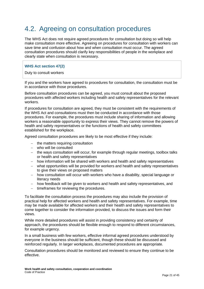# <span id="page-20-0"></span>4.2. Agreeing on consultation procedures

The WHS Act does not require agreed procedures for consultation but doing so will help make consultation more effective. Agreeing on procedures for consultation with workers can save time and confusion about how and when consultation must occur. The agreed consultation procedures should clarify key responsibilities of people in the workplace and clearly state when consultation is necessary.

#### **WHS Act section 47(2)**

#### Duty to consult workers

If you and the workers have agreed to procedures for consultation, the consultation must be in accordance with those procedures.

Before consultation procedures can be agreed, you must consult about the proposed procedures with affected workers including health and safety representatives for the relevant workers.

If procedures for consultation are agreed, they must be consistent with the requirements of the WHS Act and consultations must then be conducted in accordance with those procedures. For example, the procedures must include sharing of information and allowing workers a reasonable opportunity to express their views. They cannot remove the powers of health and safety representatives or the functions of health and safety committees established for the workplace.

Agreed consultation procedures are likely to be most effective if they include:

- − the matters requiring consultation
- − who will be consulted
- − the ways consultation will occur, for example through regular meetings, toolbox talks or health and safety representatives
- − how information will be shared with workers and health and safety representatives
- − what opportunities will be provided for workers and health and safety representatives to give their views on proposed matters
- − how consultation will occur with workers who have a disability, special language or literacy needs
- − how feedback will be given to workers and health and safety representatives, and
- − timeframes for reviewing the procedures.

To facilitate the consultation process the procedures may also include the provision of practical help for affected workers and health and safety representatives. For example, time may be made available for affected workers and their health and safety representatives to come together to consider the information provided, to discuss the issues and form their views.

While more detailed procedures will assist in providing consistency and certainty of approach, the procedures should be flexible enough to respond to different circumstances, for example urgency.

In a small business with few workers, effective informal agreed procedures understood by everyone in the business should be sufficient, though these should be discussed and reinforced regularly. In larger workplaces, documented procedures are appropriate.

Consultation procedures should be monitored and reviewed to ensure they continue to be effective.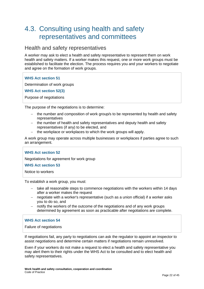# <span id="page-21-0"></span>4.3. Consulting using health and safety representatives and committees

### Health and safety representatives

A worker may ask to elect a health and safety representative to represent them on work health and safety matters. If a worker makes this request, one or more work groups must be established to facilitate the election. The process requires you and your workers to negotiate and agree on the formation of work groups.

#### **WHS Act section 51**

Determination of work groups

**WHS Act section 52(3)**

Purpose of negotiations

The purpose of the negotiations is to determine:

- − the number and composition of work group/s to be represented by health and safety representatives
- − the number of health and safety representatives and deputy health and safety representatives (if any) to be elected, and
- − the workplace or workplaces to which the work groups will apply.

A work group may operate across multiple businesses or workplaces if parties agree to such an arrangement.

#### **WHS Act section 52**

Negotiations for agreement for work group

**WHS Act section 53** 

Notice to workers

To establish a work group, you must:

- − take all reasonable steps to commence negotiations with the workers within 14 days after a worker makes the request
- − negotiate with a worker's representative (such as a union official) if a worker asks you to do so, and
- − notify the workers of the outcome of the negotiations and of any work groups determined by agreement as soon as practicable after negotiations are complete.

#### **WHS Act section 54**

Failure of negotiations

If negotiations fail, any party to negotiations can ask the regulator to appoint an inspector to assist negotiations and determine certain matters if negotiations remain unresolved.

Even if your workers do not make a request to elect a health and safety representative you may alert them to their rights under the WHS Act to be consulted and to elect health and safety representatives.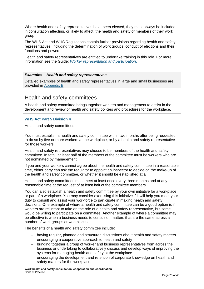Where health and safety representatives have been elected, they must always be included in consultation affecting, or likely to affect, the health and safety of members of their work group.

The WHS Act and WHS Regulations contain further provisions regarding health and safety representatives, including the determination of work groups, conduct of elections and their functions and powers.

Health and safety representatives are entitled to undertake training in this role. For more information see the Guide: *[Worker representation and participation](http://www.safeworkaustralia.gov.au/sites/swa/about/publications/pages/worker-representation-guide)*.

#### *Examples – Health and safety representatives*

Detailed examples of health and safety representatives in large and small businesses are provided in [Appendix B.](#page-33-0)

### Health and safety committees

A health and safety committee brings together workers and management to assist in the development and review of health and safety policies and procedures for the workplace.

#### **WHS Act Part 5 Division 4**

Health and safety committees

You must establish a health and safety committee within two months after being requested to do so by five or more workers at the workplace, or by a health and safety representative for those workers.

Health and safety representatives may choose to be members of the health and safety committee. In total, at least half of the members of the committee must be workers who are not nominated by management.

If you and your workers cannot agree about the health and safety committee in a reasonable time, either party can ask the regulator to appoint an inspector to decide on the make-up of the health and safety committee, or whether it should be established at all.

Health and safety committees must meet at least once every three months and at any reasonable time at the request of at least half of the committee members.

You can also establish a health and safety committee by your own initiative for a workplace or part of a workplace. You may consider exercising this initiative if it will help you meet your duty to consult and assist your workforce to participate in making health and safety decisions. One example of where a health and safety committee can be a good option is if workers are reluctant to take on the role of a health and safety representative, but some would be willing to participate on a committee. Another example of where a committee may be effective is when a business needs to consult on matters that are the same across a number of work groups or workplaces.

The benefits of a health and safety committee include:

- − having regular, planned and structured discussions about health and safety matters
- − encouraging a cooperative approach to health and safety
- − bringing together a group of worker and business representatives from across the business or undertaking to collaboratively discuss and develop ways of improving the systems for managing health and safety at the workplace
- encouraging the development and retention of corporate knowledge on health and safety matters for the workplace.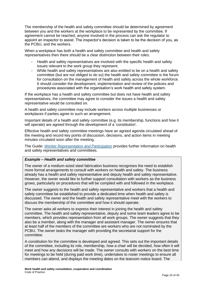The membership of the health and safety committee should be determined by agreement between you and the workers at the workplace to be represented by the committee. If agreement cannot be reached, anyone involved in the process can ask the regulator to appoint an inspector to assist. The inspector's decision is taken to be the decision of you, as the PCBU, and the workers.

When a workplace has both a health and safety committee and health and safety representatives then there should be a clear distinction between their roles.

- − Health and safety representatives are involved with the specific health and safety issues relevant to the work group they represent.
- − While health and safety representatives are also entitled to be on a health and safety committee (but are not obliged to do so) the health and safety committee is the forum for consultation on the management of health and safety across the whole workforce. It should consider the development, implementation and review of the policies and procedures associated with the organisation's work health and safety system.

If the workplace has a health and safety committee but does not have health and safety representatives, the committee may agree to consider the issues a health and safety representative would be consulted on.

A health and safety committee may include workers across multiple businesses or workplaces if parties agree to such an arrangement.

Important details of a health and safety committee (e.g. its membership, functions and how it will operate) are agreed through the development of a 'constitution'.

Effective health and safety committee meetings have an agreed agenda circulated ahead of the meeting and record key points of discussion, decisions, and action items in meeting minutes circulated soon after the meeting.

The Guide: *[Worker Representation and Participation](https://www.safeworkaustralia.gov.au/doc/worker-representation-and-participation-guide)* provides further information on health and safety representatives and committees.

#### *Example – Health and safety committee*

The owner of a medium-sized steel fabrication business recognises the need to establish more formal arrangements to consult with workers on health and safety. The business already has a health and safety representative and deputy health and safety representative. However, the owner would like to further support consultation with workers as the business grows, particularly on procedures that will be complied with and followed in the workplace.

The owner suggests to the health and safety representative and workers that a health and safety committee be established to provide a dedicated time when health and safety is discussed. The owner and the health and safety representative meet with the workers to discuss the membership of the committee and how it should operate.

The owner asks all workers to express their interest in joining the health and safety committee. The health and safety representative, deputy and some team leaders agree to be members, which provides representation from all work groups. The owner suggests that they also be a member, along with the manager and assistant manager. The owner ensures that at least half of the members of the committee are workers who are not nominated by the PCBU. The owner tasks the manager with providing the secretariat support for the committee.

A constitution for the committee is developed and agreed. This sets out the important details of the committee, including its role, membership, how a chair will be decided, how often it will meet and how any decisions will be made. The owner consults with workers on the best time for meetings to be held (during paid work time), undertakes to roster meetings to ensure all members can attend, and displays the meeting dates on the tearoom notice board. The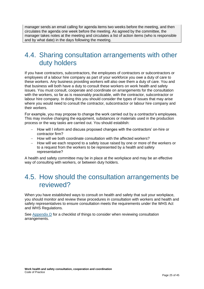manager sends an email calling for agenda items two weeks before the meeting, and then circulates the agenda one week before the meeting. As agreed by the committee, the manager takes notes at the meeting and circulates a list of action items (who is responsible and by what date) in the days following the meeting.

## <span id="page-24-0"></span>4.4. Sharing consultation arrangements with other duty holders

If you have contractors, subcontractors, the employees of contractors or subcontractors or employees of a labour hire company as part of your workforce you owe a duty of care to these workers. Any business providing workers will also owe them a duty of care. You and that business will both have a duty to consult these workers on work health and safety issues. You must consult, cooperate and coordinate on arrangements for the consultation with the workers, so far as is reasonably practicable, with the contractor, subcontractor or labour hire company. In doing this you should consider the types of issues that may arise where you would need to consult the contractor, subcontractor or labour hire company and their workers.

For example, you may propose to change the work carried out by a contractor's employees. This may involve changing the equipment, substances or materials used in the production process or the way tasks are carried out. You should establish:

- − How will I inform and discuss proposed changes with the contractors' on-hire or contractor firm?
- − How will we both coordinate consultation with the affected workers?
- − How will we each respond to a safety issue raised by one or more of the workers or to a request from the workers to be represented by a health and safety representative?

A health and safety committee may be in place at the workplace and may be an effective way of consulting with workers, or between duty holders.

## <span id="page-24-1"></span>4.5. How should the consultation arrangements be reviewed?

When you have established ways to consult on health and safety that suit your workplace, you should monitor and review these procedures in consultation with workers and health and safety representatives to ensure consultation meets the requirements under the WHS Act and WHS Regulations.

See [Appendix D](#page-40-0) for a checklist of things to consider when reviewing consultation arrangements.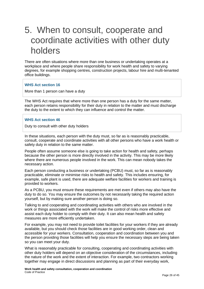# <span id="page-25-0"></span>5. When to consult, cooperate and coordinate activities with other duty holders

There are often situations where more than one business or undertaking operates at a workplace and where people share responsibility for work health and safety to varying degrees, for example shopping centres, construction projects, labour hire and multi-tenanted office buildings.

#### **WHS Act section 16**

More than 1 person can have a duty

The WHS Act requires that where more than one person has a duty for the same matter, each person retains responsibility for their duty in relation to the matter and must discharge the duty to the extent to which they can influence and control the matter.

#### **WHS Act section 46**

Duty to consult with other duty holders

In these situations, each person with the duty must, so far as is reasonably practicable, consult, cooperate and coordinate activities with all other persons who have a work health or safety duty in relation to the same matter.

People often assume someone else is going to take action for health and safety, perhaps because the other person is more directly involved in the activity. This may be more likely where there are numerous people involved in the work. This can mean nobody takes the necessary action.

Each person conducting a business or undertaking (PCBU) must, so far as is reasonably practicable, eliminate or minimise risks to health and safety. This includes ensuring, for example, safe plant is used, there are adequate welfare facilities for workers and training is provided to workers.

As a PCBU, you must ensure these requirements are met even if others may also have the duty to do so. You may ensure the outcomes by not necessarily taking the required action yourself, but by making sure another person is doing so.

Talking to and cooperating and coordinating activities with others who are involved in the work or things associated with the work will make the control of risks more effective and assist each duty holder to comply with their duty. It can also mean health and safety measures are more efficiently undertaken.

For example, you may not need to provide toilet facilities for your workers if they are already available, but you should check those facilities are in good working order, clean and accessible for your workers. Consultation, cooperation and coordination between you and the person providing those facilities will help you ensure the necessary steps are being taken so you can meet your duty.

What is reasonably practicable for consulting, cooperating and coordinating activities with other duty holders will depend on an objective consideration of the circumstances, including the nature of the work and the extent of interaction. For example, two contractors working together may engage in direct discussions and planning as part of their everyday work,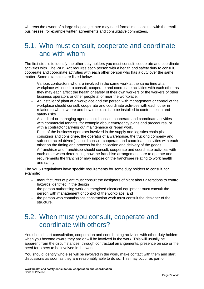whereas the owner of a large shopping centre may need formal mechanisms with the retail businesses, for example written agreements and consultative committees.

## <span id="page-26-0"></span>5.1. Who must consult, cooperate and coordinate and with whom

The first step is to identify the other duty holders you must consult, cooperate and coordinate activities with. The WHS Act requires each person with a health and safety duty to consult, cooperate and coordinate activities with each other person who has a duty over the same matter. Some examples are listed below.

- Various contractors who are involved in the same work at the same time at a workplace will need to consult, cooperate and coordinate activities with each other as they may each affect the health or safety of their own workers or the workers of other business operators or other people at or near the workplace.
- − An installer of plant at a workplace and the person with management or control of the workplace should consult, cooperate and coordinate activities with each other in relation to when, where and how the plant is to be installed to control health and safety risks.
- − A landlord or managing agent should consult, cooperate and coordinate activities with commercial tenants, for example about emergency plans and procedures, or with a contractor carrying out maintenance or repair work.
- − Each of the business operators involved in the supply and logistics chain (the consignor and consignee, the operator of a warehouse, the trucking company and sub-contracted drivers) should consult, cooperate and coordinate activities with each other on the timing and process for the collection and delivery of the goods.
- − A franchisor and franchisee should consult, cooperate and coordinate activities with each other when determining how the franchise arrangements are to operate and requirements the franchisor may impose on the franchisee relating to work health and safety.

The WHS Regulations have specific requirements for some duty holders to consult, for example:

- − manufacturers of plant must consult the designers of plant about alterations to control hazards identified in the design
- − the person authorising work on energised electrical equipment must consult the person with management or control of the workplace, and
- − the person who commissions construction work must consult the designer of the structure.

# <span id="page-26-1"></span>5.2. When must you consult, cooperate and coordinate with others?

You should start consultation, cooperation and coordinating activities with other duty holders when you become aware they are or will be involved in the work. This will usually be apparent from the circumstances, through contractual arrangements, presence on site or the need for others to be involved in the work.

You should identify who else will be involved in the work, make contact with them and start discussions as soon as they are reasonably able to do so. This may occur as part of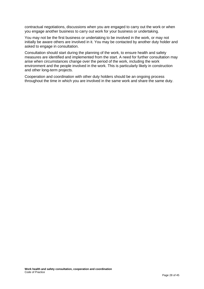contractual negotiations, discussions when you are engaged to carry out the work or when you engage another business to carry out work for your business or undertaking.

You may not be the first business or undertaking to be involved in the work, or may not initially be aware others are involved in it. You may be contacted by another duty holder and asked to engage in consultation.

Consultation should start during the planning of the work, to ensure health and safety measures are identified and implemented from the start. A need for further consultation may arise when circumstances change over the period of the work, including the work environment and the people involved in the work. This is particularly likely in construction and other long-term projects.

Cooperation and coordination with other duty holders should be an ongoing process throughout the time in which you are involved in the same work and share the same duty.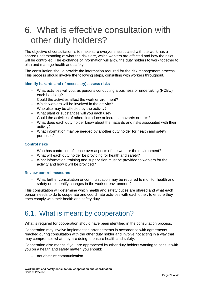# <span id="page-28-0"></span>6. What is effective consultation with other duty holders?

The objective of consultation is to make sure everyone associated with the work has a shared understanding of what the risks are, which workers are affected and how the risks will be controlled. The exchange of information will allow the duty holders to work together to plan and manage health and safety.

The consultation should provide the information required for the risk management process. This process should involve the following steps, consulting with workers throughout.

#### **Identify hazards and (if necessary) assess risks**

- − What activities will you, as persons conducting a business or undertaking (PCBU) each be doing?
- − Could the activities affect the work environment?
- − Which workers will be involved in the activity?
- − Who else may be affected by the activity?
- − What plant or substances will you each use?
- − Could the activities of others introduce or increase hazards or risks?
- − What does each duty holder know about the hazards and risks associated with their activity?
- − What information may be needed by another duty holder for health and safety purposes?

#### **Control risks**

- − Who has control or influence over aspects of the work or the environment?
- − What will each duty holder be providing for health and safety?
- − What information, training and supervision must be provided to workers for the activity and how it will be provided?

#### **Review control measures**

− What further consultation or communication may be required to monitor health and safety or to identify changes in the work or environment?

This consultation will determine which health and safety duties are shared and what each person needs to do to cooperate and coordinate activities with each other, to ensure they each comply with their health and safety duty.

## <span id="page-28-1"></span>6.1. What is meant by cooperation?

What is required for cooperation should have been identified in the consultation process.

Cooperation may involve implementing arrangements in accordance with agreements reached during consultation with the other duty holder and involve not acting in a way that may compromise what they are doing to ensure health and safety.

Cooperation also means if you are approached by other duty holders wanting to consult with you on a health and safety matter, you should:

− not obstruct communication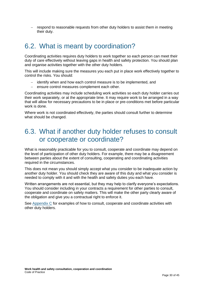− respond to reasonable requests from other duty holders to assist them in meeting their duty.

# <span id="page-29-0"></span>6.2. What is meant by coordination?

Coordinating activities requires duty holders to work together so each person can meet their duty of care effectively without leaving gaps in health and safety protection. You should plan and organise activities together with the other duty holders.

This will include making sure the measures you each put in place work effectively together to control the risks. You should:

- identify when and how each control measure is to be implemented, and
- − ensure control measures complement each other.

Coordinating activities may include scheduling work activities so each duty holder carries out their work separately, or at the appropriate time. It may require work to be arranged in a way that will allow for necessary precautions to be in place or pre-conditions met before particular work is done.

Where work is not coordinated effectively, the parties should consult further to determine what should be changed.

# <span id="page-29-1"></span>6.3. What if another duty holder refuses to consult or cooperate or coordinate?

What is reasonably practicable for you to consult, cooperate and coordinate may depend on the level of participation of other duty holders. For example, there may be a disagreement between parties about the extent of consulting, cooperating and coordinating activities required in the circumstances.

This does not mean you should simply accept what you consider to be inadequate action by another duty holder. You should check they are aware of this duty and what you consider is needed to comply with it and with the health and safety duties you each have.

Written arrangements are not essential, but they may help to clarify everyone's expectations. You should consider including in your contracts a requirement for other parties to consult, cooperate and coordinate on safety matters. This will make the other party clearly aware of the obligation and give you a contractual right to enforce it.

See [Appendix C](#page-36-0) for examples of how to consult, cooperate and coordinate activities with other duty holders.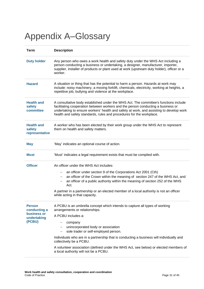# <span id="page-30-0"></span>Appendix A–Glossary

| <b>Term</b>                                                           | <b>Description</b>                                                                                                                                                                                                                                                                                                                          |  |  |  |
|-----------------------------------------------------------------------|---------------------------------------------------------------------------------------------------------------------------------------------------------------------------------------------------------------------------------------------------------------------------------------------------------------------------------------------|--|--|--|
| <b>Duty holder</b>                                                    | Any person who owes a work health and safety duty under the WHS Act including a<br>person conducting a business or undertaking, a designer, manufacturer, importer,<br>supplier, installer of products or plant used at work (upstream duty holder), officer or a<br>worker.                                                                |  |  |  |
| <b>Hazard</b>                                                         | A situation or thing that has the potential to harm a person. Hazards at work may<br>include: noisy machinery, a moving forklift, chemicals, electricity, working at heights, a<br>repetitive job, bullying and violence at the workplace.                                                                                                  |  |  |  |
| <b>Health and</b><br>safety<br>committee                              | A consultative body established under the WHS Act. The committee's functions include<br>facilitating cooperation between workers and the person conducting a business or<br>undertaking to ensure workers' health and safety at work, and assisting to develop work<br>health and safety standards, rules and procedures for the workplace. |  |  |  |
| <b>Health and</b><br>safety<br>representative                         | A worker who has been elected by their work group under the WHS Act to represent<br>them on health and safety matters.                                                                                                                                                                                                                      |  |  |  |
| <b>May</b>                                                            | 'May' indicates an optional course of action.                                                                                                                                                                                                                                                                                               |  |  |  |
| <b>Must</b>                                                           | 'Must' indicates a legal requirement exists that must be complied with.                                                                                                                                                                                                                                                                     |  |  |  |
| <b>Officer</b>                                                        | An officer under the WHS Act includes:                                                                                                                                                                                                                                                                                                      |  |  |  |
|                                                                       | an officer under section 9 of the Corporations Act 2001 (Cth)<br>$\qquad \qquad -$<br>an officer of the Crown within the meaning of section 247 of the WHS Act, and<br>an officer of a public authority within the meaning of section 252 of the WHS<br>Act.                                                                                |  |  |  |
|                                                                       | A partner in a partnership or an elected member of a local authority is not an officer<br>while acting in that capacity.                                                                                                                                                                                                                    |  |  |  |
| <b>Person</b><br>conducting a<br>business or<br>undertaking<br>(PCBU) | A PCBU is an umbrella concept which intends to capture all types of working<br>arrangements or relationships.<br>A PCBU includes a:                                                                                                                                                                                                         |  |  |  |
|                                                                       | company<br>$\qquad \qquad -$<br>unincorporated body or association                                                                                                                                                                                                                                                                          |  |  |  |
|                                                                       | sole trader or self-employed person.<br>$\qquad \qquad -$<br>Individuals who are in a partnership that is conducting a business will individually and                                                                                                                                                                                       |  |  |  |
|                                                                       | collectively be a PCBU.                                                                                                                                                                                                                                                                                                                     |  |  |  |
|                                                                       | A volunteer association (defined under the WHS Act, see below) or elected members of<br>a local authority will not be a PCBU.                                                                                                                                                                                                               |  |  |  |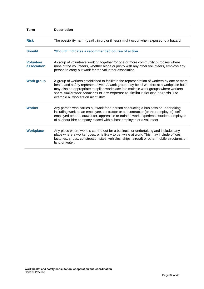| <b>Term</b>                     | <b>Description</b>                                                                                                                                                                                                                                                                                                                                                                                     |
|---------------------------------|--------------------------------------------------------------------------------------------------------------------------------------------------------------------------------------------------------------------------------------------------------------------------------------------------------------------------------------------------------------------------------------------------------|
| <b>Risk</b>                     | The possibility harm (death, injury or illness) might occur when exposed to a hazard.                                                                                                                                                                                                                                                                                                                  |
| <b>Should</b>                   | 'Should' indicates a recommended course of action.                                                                                                                                                                                                                                                                                                                                                     |
| <b>Volunteer</b><br>association | A group of volunteers working together for one or more community purposes where<br>none of the volunteers, whether alone or jointly with any other volunteers, employs any<br>person to carry out work for the volunteer association.                                                                                                                                                                  |
| <b>Work group</b>               | A group of workers established to facilitate the representation of workers by one or more<br>health and safety representatives. A work group may be all workers at a workplace but it<br>may also be appropriate to split a workplace into multiple work groups where workers<br>share similar work conditions or are exposed to similar risks and hazards. For<br>example all workers on night shift. |
| <b>Worker</b>                   | Any person who carries out work for a person conducting a business or undertaking,<br>including work as an employee, contractor or subcontractor (or their employee), self-<br>employed person, outworker, apprentice or trainee, work experience student, employee<br>of a labour hire company placed with a 'host employer' or a volunteer.                                                          |
| <b>Workplace</b>                | Any place where work is carried out for a business or undertaking and includes any<br>place where a worker goes, or is likely to be, while at work. This may include offices,<br>factories, shops, construction sites, vehicles, ships, aircraft or other mobile structures on<br>land or water.                                                                                                       |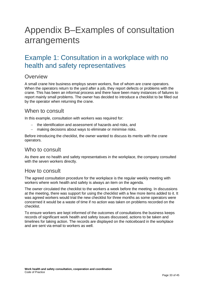# <span id="page-32-0"></span>Appendix B–Examples of consultation arrangements

# <span id="page-32-1"></span>Example 1: Consultation in a workplace with no health and safety representatives

## **Overview**

A small crane hire business employs seven workers, five of whom are crane operators. When the operators return to the yard after a job, they report defects or problems with the crane. This has been an informal process and there have been many instances of failures to report mainly small problems. The owner has decided to introduce a checklist to be filled out by the operator when returning the crane.

### When to consult

In this example, consultation with workers was required for:

- − the identification and assessment of hazards and risks, and
- − making decisions about ways to eliminate or minimise risks.

Before introducing the checklist, the owner wanted to discuss its merits with the crane operators.

### Who to consult

As there are no health and safety representatives in the workplace, the company consulted with the seven workers directly.

## How to consult

The agreed consultation procedure for the workplace is the regular weekly meeting with workers where work health and safety is always an item on the agenda.

The owner circulated the checklist to the workers a week before the meeting. In discussions at the meeting, there was support for using the checklist with a few more items added to it. It was agreed workers would trial the new checklist for three months as some operators were concerned it would be a waste of time if no action was taken on problems recorded on the checklist.

To ensure workers are kept informed of the outcomes of consultations the business keeps records of significant work health and safety issues discussed, actions to be taken and timelines for taking action. The records are displayed on the noticeboard in the workplace and are sent via email to workers as well.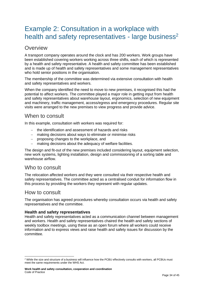# <span id="page-33-0"></span>Example 2: Consultation in a workplace with health and safety representatives - large business<sup>2</sup>

## **Overview**

A transport company operates around the clock and has 200 workers. Work groups have been established covering workers working across three shifts, each of which is represented by a health and safety representative. A health and safety committee has been established and is made up of health and safety representatives and some management representatives who hold senior positions in the organisation.

The membership of the committee was determined via extensive consultation with health and safety representatives and workers.

When the company identified the need to move to new premises, it recognised this had the potential to affect workers. The committee played a major role in getting input from health and safety representatives about warehouse layout, ergonomics, selection of new equipment and machinery, traffic management, access/egress and emergency procedures. Regular site visits were arranged to the new premises to view progress and provide advice.

## When to consult

In this example, consultation with workers was required for:

- − the identification and assessment of hazards and risks
- − making decisions about ways to eliminate or minimise risks
- − proposing changes to the workplace, and
- − making decisions about the adequacy of welfare facilities.

The design and fit-out of the new premises included considering layout, equipment selection, new work systems, lighting installation, design and commissioning of a sorting table and warehouse airflow.

### Who to consult

The relocation affected workers and they were consulted via their respective health and safety representatives. The committee acted as a centralised conduit for information flow in this process by providing the workers they represent with regular updates.

### How to consult

The organisation has agreed procedures whereby consultation occurs via health and safety representatives and the committee.

#### **Health and safety representatives**

Health and safety representatives acted as a communication channel between management and workers. Health and safety representatives chaired the health and safety sections of weekly toolbox meetings, using these as an open forum where all workers could receive information and to express views and raise health and safety issues for discussion by the committee.

*<sup>2</sup>* While the size and structure of a business will influence how the PCBU effectively consults with workers, all PCBUs must meet the same requirements under the WHS Act.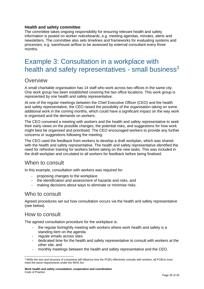#### **Health and safety committee**

The committee takes ongoing responsibility for ensuring relevant health and safety information is posted on worker noticeboards, e.g. meeting agendas, minutes, alerts and newsletters. The committee also sets timelines and frameworks for evaluating systems and processes, e.g. warehouse airflow to be assessed by external consultant every three months.

# <span id="page-34-0"></span>Example 3: Consultation in a workplace with health and safety representatives - small business<sup>3</sup>

### **Overview**

A small charitable organisation has 14 staff who work across two offices in the same city. One work group has been established covering the two office locations. This work group is represented by one health and safety representative.

At one of the regular meetings between the Chief Executive Officer (CEO) and the health and safety representative, the CEO raised the possibility of the organisation taking on some additional work in the coming months, which could have a significant impact on the way work is organised and the demands on workers.

The CEO convened a meeting with workers and the health and safety representative to seek their early views on the possible changes, the potential risks, and suggestions for how work might best be organised and prioritised. The CEO encouraged workers to provide any further concerns or suggestions following the meeting.

The CEO used the feedback from workers to develop a draft workplan, which was shared with the health and safety representative. The health and safety representative identified the need for refresher training for workers before taking on the new tasks. This was included in the draft workplan and circulated to all workers for feedback before being finalised.

### When to consult

In this example, consultation with workers was required for:

- − proposing changes to the workplace
- − the identification and assessment of hazards and risks, and
- − making decisions about ways to eliminate or minimise risks.

### Who to consult

Agreed procedures set out how consultation occurs via the health and safety representative (see below).

### How to consult

The agreed consultation procedure for the workplace is:

- the regular fortnightly meeting with workers where work health and safety is a standing item on the agenda
- regular emails across sites
- dedicated time for the health and safety representative to consult with workers at the other site, and
- monthly meetings between the health and safety representative and the CEO.

*<sup>3</sup>* While the size and structure of a business will influence how the PCBU effectively consults with workers, all PCBUs must meet the same requirements under the WHS Act.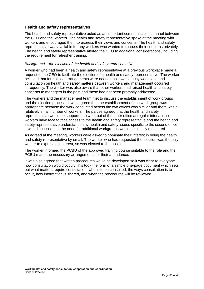#### **Health and safety representatives**

The health and safety representative acted as an important communication channel between the CEO and the workers. The health and safety representative spoke at the meeting with workers and encouraged them to express their views and concerns. The health and safety representative was available for any workers who wanted to discuss their concerns privately. The health and safety representative alerted the CEO to additional considerations, including the requirement for refresher training.

#### *Background – the election of the health and safety representative*

A worker who had been a health and safety representative at a previous workplace made a request to the CEO to facilitate the election of a health and safety representative. The worker believed that formalised arrangements were needed as it was a busy workplace and consultation on health and safety matters between workers and management occurred infrequently. The worker was also aware that other workers had raised health and safety concerns to managers in the past and these had not been promptly addressed.

The workers and the management team met to discuss the establishment of work groups and the election process. It was agreed that the establishment of one work group was appropriate because the work conducted across the two offices was similar and there was a relatively small number of workers. The parties agreed that the health and safety representative would be supported to work out of the other office at regular intervals, so workers have face to face access to the health and safety representative and the health and safety representative understands any health and safety issues specific to the second office. It was discussed that the need for additional workgroups would be closely monitored.

As agreed at the meeting, workers were asked to nominate their interest in being the health and safety representative by email. The worker who had requested the election was the only worker to express an interest, so was elected to the position.

The worker informed the PCBU of the approved training course suitable to the role and the PCBU made the necessary arrangements for their attendance.

It was also agreed that written procedures would be developed so it was clear to everyone how consultation would occur. This took the form of a simple one-page document which sets out what matters require consultation, who is to be consulted, the ways consultation is to occur, how information is shared, and when the procedures will be reviewed.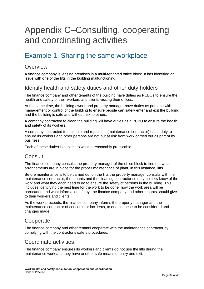# <span id="page-36-0"></span>Appendix C–Consulting, cooperating and coordinating activities

# <span id="page-36-1"></span>Example 1: Sharing the same workplace

### **Overview**

A finance company is leasing premises in a multi-tenanted office block. It has identified an issue with one of the lifts in the building malfunctioning.

## Identify health and safety duties and other duty holders

The finance company and other tenants of the building have duties as PCBUs to ensure the health and safety of their workers and clients visiting their offices.

At the same time, the building owner and property manager have duties as persons with management or control of the building to ensure people can safely enter and exit the building and the building is safe and without risk to others.

A company contracted to clean the building will have duties as a PCBU to ensure the health and safety of its workers.

A company contracted to maintain and repair lifts (maintenance contractor) has a duty to ensure its workers and other persons are not put at risk from work carried out as part of its business.

Each of these duties is subject to what is reasonably practicable.

## **Consult**

The finance company consults the property manager of the office block to find out what arrangements are in place for the proper maintenance of plant, in this instance, lifts.

Before maintenance is to be carried out on the lifts the property manager consults with the maintenance contractor, the tenants and the cleaning contractor so duty holders know of the work and what they each need to do to ensure the safety of persons in the building. This includes identifying the best time for the work to be done, how the work area will be barricaded and what information, if any, the finance company and other tenants should give to their workers and clients.

As the work proceeds, the finance company informs the property manager and the maintenance contractor of concerns or incidents, to enable these to be considered and changes made.

## **Cooperate**

The finance company and other tenants cooperate with the maintenance contractor by complying with the contractor's safety procedures.

## Coordinate activities

The finance company ensures its workers and clients do not use the lifts during the maintenance work and they have another safe means of entry and exit.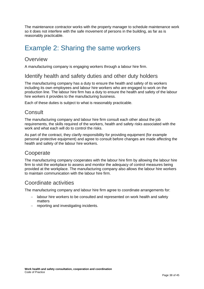The maintenance contractor works with the property manager to schedule maintenance work so it does not interfere with the safe movement of persons in the building, as far as is reasonably practicable.

# <span id="page-37-0"></span>Example 2: Sharing the same workers

## **Overview**

A manufacturing company is engaging workers through a labour hire firm.

## Identify health and safety duties and other duty holders

The manufacturing company has a duty to ensure the health and safety of its workers including its own employees and labour hire workers who are engaged to work on the production line. The labour hire firm has a duty to ensure the health and safety of the labour hire workers it provides to the manufacturing business.

Each of these duties is subject to what is reasonably practicable.

## **Consult**

The manufacturing company and labour hire firm consult each other about the job requirements, the skills required of the workers, health and safety risks associated with the work and what each will do to control the risks.

As part of the contract, they clarify responsibility for providing equipment (for example personal protective equipment) and agree to consult before changes are made affecting the health and safety of the labour hire workers.

## **Cooperate**

The manufacturing company cooperates with the labour hire firm by allowing the labour hire firm to visit the workplace to assess and monitor the adequacy of control measures being provided at the workplace. The manufacturing company also allows the labour hire workers to maintain communication with the labour hire firm.

## Coordinate activities

The manufacturing company and labour hire firm agree to coordinate arrangements for:

- labour hire workers to be consulted and represented on work health and safety matters
- − reporting and investigating incidents.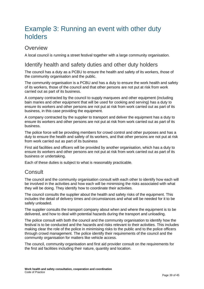# <span id="page-38-0"></span>Example 3: Running an event with other duty holders

## **Overview**

A local council is running a street festival together with a large community organisation.

## Identify health and safety duties and other duty holders

The council has a duty as a PCBU to ensure the health and safety of its workers, those of the community organisation and the public.

The community organisation is a PCBU and has a duty to ensure the work health and safety of its workers, those of the council and that other persons are not put at risk from work carried out as part of its business.

A company contracted by the council to supply marquees and other equipment (including bain maries and other equipment that will be used for cooking and serving) has a duty to ensure its workers and other persons are not put at risk from work carried out as part of its business, in this case providing the equipment.

A company contracted by the supplier to transport and deliver the equipment has a duty to ensure its workers and other persons are not put at risk from work carried out as part of its business.

The police force will be providing members for crowd control and other purposes and has a duty to ensure the health and safety of its workers, and that other persons are not put at risk from work carried out as part of its business

First aid facilities and officers will be provided by another organisation, which has a duty to ensure its workers and other persons are not put at risk from work carried out as part of its business or undertaking.

Each of these duties is subject to what is reasonably practicable.

## **Consult**

The council and the community organisation consult with each other to identify how each will be involved in the activities and how each will be minimising the risks associated with what they will be doing. They identify how to coordinate their activities.

The council consults the supplier about the health and safety risks of the equipment. This includes the detail of delivery times and circumstances and what will be needed for it to be safely unloaded.

The supplier consults the transport company about when and where the equipment is to be delivered, and how to deal with potential hazards during the transport and unloading.

The police consult with both the council and the community organisation to identify how the festival is to be conducted and the hazards and risks relevant to their activities. This includes making clear the role of the police in minimising risks to the public and to the police officers through crowd management. The police identify their requirements of the council and the community organisation for matters like vehicle access.

The council, community organisation and first aid provider consult on the requirements for the first aid facilities including their nature, quantity and location.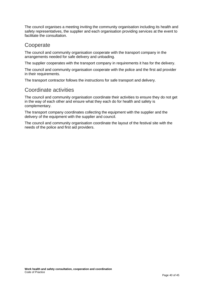The council organises a meeting inviting the community organisation including its health and safety representatives, the supplier and each organisation providing services at the event to facilitate the consultation.

## **Cooperate**

The council and community organisation cooperate with the transport company in the arrangements needed for safe delivery and unloading.

The supplier cooperates with the transport company in requirements it has for the delivery.

The council and community organisation cooperate with the police and the first aid provider in their requirements.

The transport contractor follows the instructions for safe transport and delivery.

## Coordinate activities

The council and community organisation coordinate their activities to ensure they do not get in the way of each other and ensure what they each do for health and safety is complementary.

The transport company coordinates collecting the equipment with the supplier and the delivery of the equipment with the supplier and council.

The council and community organisation coordinate the layout of the festival site with the needs of the police and first aid providers.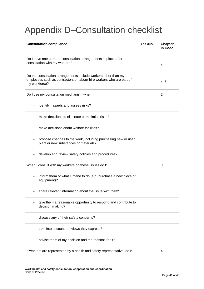# <span id="page-40-0"></span>Appendix D–Consultation checklist

| <b>Consultation compliance</b>                                                                                                                          | Yes /No | <b>Chapter</b><br>in Code |
|---------------------------------------------------------------------------------------------------------------------------------------------------------|---------|---------------------------|
| Do I have one or more consultation arrangements in place after<br>consultation with my workers?<br>4                                                    |         |                           |
| Do the consultation arrangements include workers other than my<br>employees such as contractors or labour hire workers who are part of<br>my workforce? |         | 4, 5                      |
| Do I use my consultation mechanism when I:                                                                                                              |         | 2                         |
| identify hazards and assess risks?                                                                                                                      |         |                           |
| make decisions to eliminate or minimise risks?                                                                                                          |         |                           |
| make decisions about welfare facilities?                                                                                                                |         |                           |
| propose changes to the work, including purchasing new or used<br>$\overline{\phantom{0}}$<br>plant or new substances or materials?                      |         |                           |
| develop and review safety policies and procedures?<br>$\qquad \qquad -$                                                                                 |         |                           |
| When I consult with my workers on these issues do I:                                                                                                    |         | 3                         |
| inform them of what I intend to do (e.g. purchase a new piece of<br>equipment)?                                                                         |         |                           |
| share relevant information about the issue with them?<br>$\overline{\phantom{m}}$                                                                       |         |                           |
| give them a reasonable opportunity to respond and contribute to<br>decision making?                                                                     |         |                           |
| discuss any of their safety concerns?                                                                                                                   |         |                           |
| take into account the views they express?                                                                                                               |         |                           |
| advise them of my decision and the reasons for it?                                                                                                      |         |                           |
| If workers are represented by a health and safety representative, do I:<br>4                                                                            |         |                           |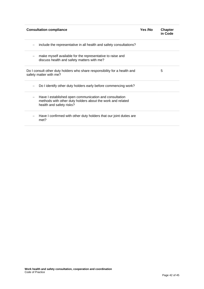| <b>Consultation compliance</b>                                                                                                                   | Yes /No | <b>Chapter</b><br>in Code |
|--------------------------------------------------------------------------------------------------------------------------------------------------|---------|---------------------------|
| include the representative in all health and safety consultations?                                                                               |         |                           |
| make myself available for the representative to raise and<br>discuss health and safety matters with me?                                          |         |                           |
| Do I consult other duty holders who share responsibility for a health and<br>safety matter with me?                                              |         | 5                         |
| Do I identify other duty holders early before commencing work?                                                                                   |         |                           |
| Have I established open communication and consultation<br>methods with other duty holders about the work and related<br>health and safety risks? |         |                           |
| Have I confirmed with other duty holders that our joint duties are<br>met?                                                                       |         |                           |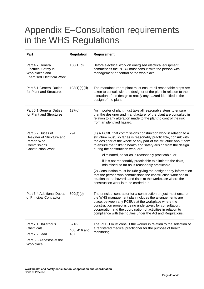# <span id="page-42-0"></span>Appendix E–Consultation requirements in the WHS Regulations

| Part                                                                                                     | <b>Regulation</b>              | Requirement                                                                                                                                                                                                                                                                                                                                                                       |
|----------------------------------------------------------------------------------------------------------|--------------------------------|-----------------------------------------------------------------------------------------------------------------------------------------------------------------------------------------------------------------------------------------------------------------------------------------------------------------------------------------------------------------------------------|
| Part 4.7 General<br><b>Electrical Safety in</b><br>Workplaces and<br><b>Energised Electrical Work</b>    | 158(1)(d)                      | Before electrical work on energised electrical equipment<br>commences the PCBU must consult with the person with<br>management or control of the workplace.                                                                                                                                                                                                                       |
| Part 5.1 General Duties<br>for Plant and Structures                                                      | 193(1)(c)(iii)                 | The manufacturer of plant must ensure all reasonable steps are<br>taken to consult with the designer of the plant in relation to the<br>alteration of the design to rectify any hazard identified in the<br>design of the plant.                                                                                                                                                  |
| Part 5.1 General Duties<br>for Plant and Structures                                                      | 197(d)                         | An importer of plant must take all reasonable steps to ensure<br>that the designer and manufacturer of the plant are consulted in<br>relation to any alteration made to the plant to control the risk<br>from an identified hazard.                                                                                                                                               |
| Part 6.2 Duties of<br>Designer of Structure and<br>Person Who<br>Commissions<br><b>Construction Work</b> | 294                            | (1) A PCBU that commissions construction work in relation to a<br>structure must, so far as is reasonably practicable, consult with<br>the designer of the whole or any part of the structure about how<br>to ensure that risks to health and safety arising from the design<br>during the construction work are:                                                                 |
|                                                                                                          |                                | eliminated, so far as is reasonably practicable; or                                                                                                                                                                                                                                                                                                                               |
|                                                                                                          |                                | if it is not reasonably practicable to eliminate the risks,<br>minimised so far as is reasonably practicable.                                                                                                                                                                                                                                                                     |
|                                                                                                          |                                | (2) Consultation must include giving the designer any information<br>that the person who commissions the construction work has in<br>relation to the hazards and risks at the workplace where the<br>construction work is to be carried out.                                                                                                                                      |
| Part 6.4 Additional Duties<br>of Principal Contractor                                                    | 309(2)(b)                      | The principal contractor for a construction project must ensure<br>the WHS management plan includes the arrangements are in<br>place, between any PCBUs at the workplace where the<br>construction project is being undertaken, for consultation,<br>cooperation and the coordination of activities in relation to<br>compliance with their duties under the Act and Regulations. |
| Part 7.1 Hazardous<br>Chemicals,<br>Part 7.2 Lead<br>Part 8.5 Asbestos at the                            | 371(2),<br>408, 416 and<br>437 | The PCBU must consult the worker in relation to the selection of<br>a registered medical practitioner for the purpose of health<br>monitoring.                                                                                                                                                                                                                                    |
| Workplace                                                                                                |                                |                                                                                                                                                                                                                                                                                                                                                                                   |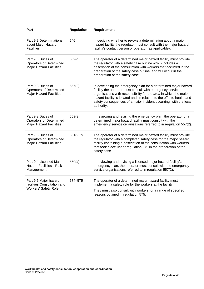| Part                                                                                   | <b>Regulation</b> | Requirement                                                                                                                                                                                                                                                                                                                                                   |
|----------------------------------------------------------------------------------------|-------------------|---------------------------------------------------------------------------------------------------------------------------------------------------------------------------------------------------------------------------------------------------------------------------------------------------------------------------------------------------------------|
| Part 9.2 Determinations<br>about Major Hazard<br><b>Facilities</b>                     | 546               | In deciding whether to revoke a determination about a major<br>hazard facility the regulator must consult with the major hazard<br>facility's contact person or operator (as applicable).                                                                                                                                                                     |
| Part 9.3 Duties of<br><b>Operators of Determined</b><br><b>Major Hazard Facilities</b> | 552(d)            | The operator of a determined major hazard facility must provide<br>the regulator with a safety case outline which includes a<br>description of the consultation with workers that occurred in the<br>preparation of the safety case outline, and will occur in the<br>preparation of the safety case.                                                         |
| Part 9.3 Duties of<br><b>Operators of Determined</b><br><b>Major Hazard Facilities</b> | 557(2)            | In developing the emergency plan for a determined major hazard<br>facility the operator must consult with emergency service<br>organisations with responsibility for the area in which the major<br>hazard facility is located and, in relation to the off-site health and<br>safety consequences of a major incident occurring, with the local<br>authority. |
| Part 9.3 Duties of<br><b>Operators of Determined</b><br><b>Major Hazard Facilities</b> | 559(3)            | In reviewing and revising the emergency plan, the operator of a<br>determined major hazard facility must consult with the<br>emergency service organisations referred to in regulation 557(2).                                                                                                                                                                |
| Part 9.3 Duties of<br><b>Operators of Determined</b><br><b>Major Hazard Facilities</b> | 561(2)(f)         | The operator of a determined major hazard facility must provide<br>the regulator with a completed safety case for the major hazard<br>facility containing a description of the consultation with workers<br>that took place under regulation 575 in the preparation of the<br>safety case.                                                                    |
| Part 9.4 Licensed Major<br><b>Hazard Facilities-Risk</b><br>Management                 | 569(4)            | In reviewing and revising a licensed major hazard facility's<br>emergency plan, the operator must consult with the emergency<br>service organisations referred to in regulation 557(2).                                                                                                                                                                       |
| Part 9.5 Major hazard<br>facilities Consultation and<br><b>Workers' Safety Role</b>    | 574-575           | The operator of a determined major hazard facility must<br>implement a safety role for the workers at the facility.<br>They must also consult with workers for a range of specified<br>reasons outlined in regulation 575.                                                                                                                                    |